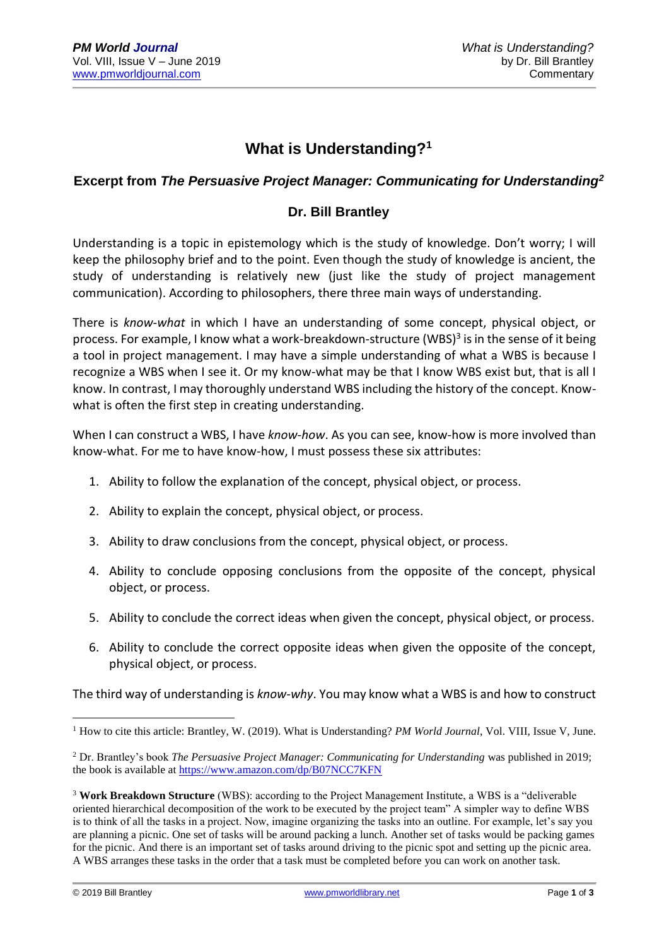### **What is Understanding?<sup>1</sup>**

#### **Excerpt from** *The Persuasive Project Manager: Communicating for Understanding<sup>2</sup>*

#### **Dr. Bill Brantley**

Understanding is a topic in epistemology which is the study of knowledge. Don't worry; I will keep the philosophy brief and to the point. Even though the study of knowledge is ancient, the study of understanding is relatively new (just like the study of project management communication). According to philosophers, there three main ways of understanding.

There is *know-what* in which I have an understanding of some concept, physical object, or process. For example, I know what a work-breakdown-structure (WBS)<sup>3</sup> is in the sense of it being a tool in project management. I may have a simple understanding of what a WBS is because I recognize a WBS when I see it. Or my know-what may be that I know WBS exist but, that is all I know. In contrast, I may thoroughly understand WBS including the history of the concept. Knowwhat is often the first step in creating understanding.

When I can construct a WBS, I have *know-how*. As you can see, know-how is more involved than know-what. For me to have know-how, I must possess these six attributes:

- 1. Ability to follow the explanation of the concept, physical object, or process.
- 2. Ability to explain the concept, physical object, or process.
- 3. Ability to draw conclusions from the concept, physical object, or process.
- 4. Ability to conclude opposing conclusions from the opposite of the concept, physical object, or process.
- 5. Ability to conclude the correct ideas when given the concept, physical object, or process.
- 6. Ability to conclude the correct opposite ideas when given the opposite of the concept, physical object, or process.

The third way of understanding is *know-why*. You may know what a WBS is and how to construct

<u>.</u>

<sup>&</sup>lt;sup>1</sup> How to cite this article: Brantley, W. (2019). What is Understanding? *PM World Journal*, Vol. VIII, Issue V, June.

<sup>2</sup> Dr. Brantley's book *The Persuasive Project Manager: Communicating for Understanding* was published in 2019; the book is available at<https://www.amazon.com/dp/B07NCC7KFN>

<sup>3</sup> **Work Breakdown Structure** (WBS): according to the Project Management Institute, a WBS is a "deliverable oriented hierarchical decomposition of the work to be executed by the project team" A simpler way to define WBS is to think of all the tasks in a project. Now, imagine organizing the tasks into an outline. For example, let's say you are planning a picnic. One set of tasks will be around packing a lunch. Another set of tasks would be packing games for the picnic. And there is an important set of tasks around driving to the picnic spot and setting up the picnic area. A WBS arranges these tasks in the order that a task must be completed before you can work on another task.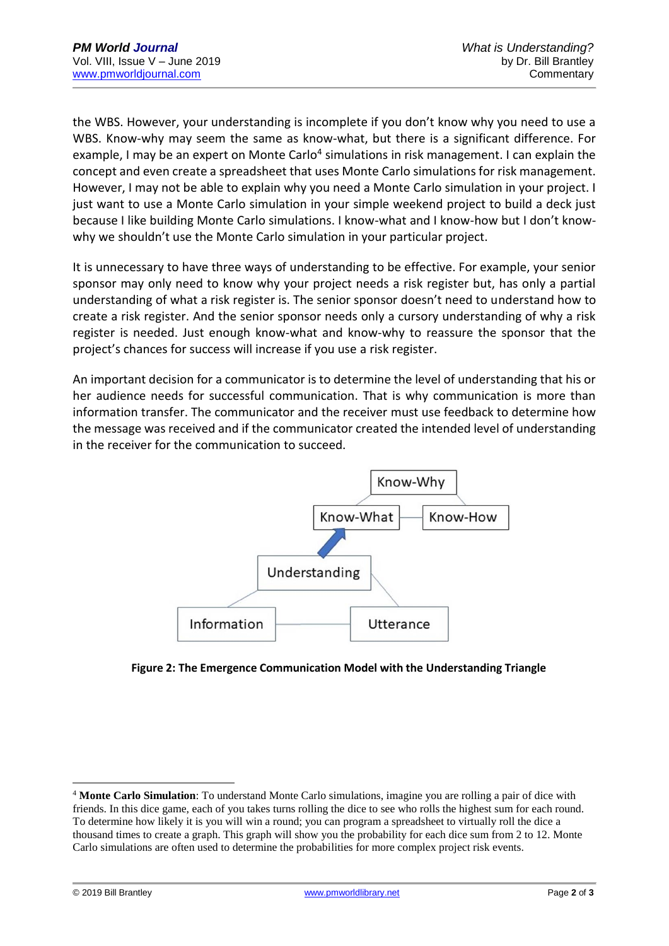the WBS. However, your understanding is incomplete if you don't know why you need to use a WBS. Know-why may seem the same as know-what, but there is a significant difference. For example, I may be an expert on Monte Carlo<sup>4</sup> simulations in risk management. I can explain the concept and even create a spreadsheet that uses Monte Carlo simulations for risk management. However, I may not be able to explain why you need a Monte Carlo simulation in your project. I just want to use a Monte Carlo simulation in your simple weekend project to build a deck just because I like building Monte Carlo simulations. I know-what and I know-how but I don't knowwhy we shouldn't use the Monte Carlo simulation in your particular project.

It is unnecessary to have three ways of understanding to be effective. For example, your senior sponsor may only need to know why your project needs a risk register but, has only a partial understanding of what a risk register is. The senior sponsor doesn't need to understand how to create a risk register. And the senior sponsor needs only a cursory understanding of why a risk register is needed. Just enough know-what and know-why to reassure the sponsor that the project's chances for success will increase if you use a risk register.

An important decision for a communicator is to determine the level of understanding that his or her audience needs for successful communication. That is why communication is more than information transfer. The communicator and the receiver must use feedback to determine how the message was received and if the communicator created the intended level of understanding in the receiver for the communication to succeed.



**Figure 2: The Emergence Communication Model with the Understanding Triangle**

1

<sup>4</sup> **Monte Carlo Simulation**: To understand Monte Carlo simulations, imagine you are rolling a pair of dice with friends. In this dice game, each of you takes turns rolling the dice to see who rolls the highest sum for each round. To determine how likely it is you will win a round; you can program a spreadsheet to virtually roll the dice a thousand times to create a graph. This graph will show you the probability for each dice sum from 2 to 12. Monte Carlo simulations are often used to determine the probabilities for more complex project risk events.